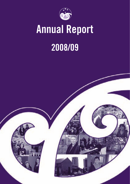

# **Annual Report**

## **2008/09**

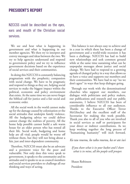## **PRESIDENT'S REPORT**

NZCCSS could be described as the eyes, ears and mouth of the Christian social services.

We see and hear what is happening in government and what is happening in our member agencies. We then try to interpret and convey messages and ideas between the two. We try to help agencies understand and respond to government policy and we try to influence government decisions based on the experience of social services and their communities.

In doing this NZCCSS is constantly balancing pragmatism with the prophetic; compassion with social change. We have to be pragmatic and respond to things as they are, helping social services to make the biggest impact within the political, economic and policy environment that exists. At the same time we can never forget the biblical call for justice and a fair social and economic order.

All the social work in the world cannot make up for the damage caused by colonisation or the social attitudes that underpin family violence. All the budgeting advice we could deliver cannot change the realities of poverty. All the home help possible cannot build a safe warm house for an older person who has rented all their life. Social work, budgeting and home help are all vital; people would be worse off without them, but they will not bring about a fair, just and inter-dependent community.

Therefore, NZCCSS must also be an advocate and a persistent voice for the poor and vulnerable. Not only does this voice speak to government, it speaks to the community and its attitudes and it speaks to us as council members and social services providers to challenge all our thinking and ways of acting.

This balance is not always easy to achieve and in a year in which there has been a change of government and a world-wide recession it has been a challenge. NZCCSS has had to build new relationships and seek common ground while at the same time sustaining what can be unpopular messages about justice and social change. We have had to respond to a growing agenda of changed policy in a way that allows us to have a voice and supports our members and their communities. We have had to say "no we don't agree" in ways that keep dialogue going.

Through our work with the denominational churches who support our members, our dialogue with politicians and policy makers, our publications and research and our public statements, I believe NZCCSS has been of considerable influence to all our audiences. Thanks to the Executive Officer Trevor McGlinchey and the excellent staff of the Secretariat for making this work possible. Thank you also to all of you who are involved in social services as staff or participants for your direct or indirect contributions. As we keep working together the long process of "humanising humanity" will inch forward.

#### *Ko tau rourou, ko taku rourou, ka or ate iwi*

*If you share what is in your basket and I share what is in mine, all the people will prosper.*

Shaun Robinson President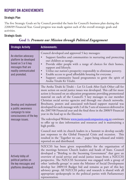## **REPORT ON ACHIEVEMENTS**

#### **Strategic Plan**

The five Strategic Goals set by Council provided the basis for Council's business plan during the 2208/09 Financial Year. Good progress was made against each of the overall strategic goals and activities.

#### **Strategic Goals**

## **Goal 1:** *Promote our Mission through Political Engagement*

| <b>Strategic Activity</b>                                                                                                          | <b>Achievements:</b>                                                                                                                                                                                                                                                                                                                                                                                                                                                                                                                                                                                                                                                                               |
|------------------------------------------------------------------------------------------------------------------------------------|----------------------------------------------------------------------------------------------------------------------------------------------------------------------------------------------------------------------------------------------------------------------------------------------------------------------------------------------------------------------------------------------------------------------------------------------------------------------------------------------------------------------------------------------------------------------------------------------------------------------------------------------------------------------------------------------------|
| An election advocacy<br>platform be developed<br>based on 5 or 6 key<br>messages that are<br>readily communicated<br>and promoted. | Council developed and approved 5 key messages:<br>Support families and communities in nurturing and protecting<br>our children as taonga.<br>Provide older people with a range of choices for their homes,<br>$\bullet$<br>support and lifestyle.<br>Utilise our nation's prosperity responsibly to eliminate poverty.<br>Enable access to good affordable housing for everyone.<br>Support community based programmes to grow the spirit of<br>$\bullet$<br>Aroha Tētahi Ki Tētahi.                                                                                                                                                                                                               |
| Develop and implement<br>a public awareness<br>campaign to raise<br>consciousness of the key<br>message issues.                    | The Aroha Tētahi ki Tētahi - Let Us Look After Each Other call for<br>more action on social justice issues was developed. This call for more<br>action is focussed on an education programme providing promotional<br>material on each of the Council's 5 key messages to our member<br>Christian social service agencies and through our church networks.<br>Brochures, posters and associated web-based support material was<br>developed for each message with 2 of the 5 sets of resources delivered in<br>the 2007/08 Financial year and the final three in the 2008/9 Financial<br>year in the lead up to the Election.<br>The redeveloped Website www.justiceandcompassion.org.nz continues |
|                                                                                                                                    | to offer up to date information and resources and is maintaining a<br>high profile.<br>Council met with its church leaders in a Summit to develop socially<br>just responses to the Global Financial Crisis and recession.<br>This<br>resulted in the 'Together we can" paper being released and widely<br>reported on and distributed.                                                                                                                                                                                                                                                                                                                                                            |
| Actively lobby all<br>political parties on<br>the key messages and<br>platforms developed.                                         | NZCCSS has been given responsibility for the organisation of<br>the meetings between Church leaders and heads of State. Council<br>developed a "Briefing to the Incoming Government" that gave an<br>overview of social service and social justice issues from a NZCCSS<br>perspective. The NZCCSS Secretariat was engaged with a group of<br>other 'umbrella groups' to assist the Minister of Social Development<br>develop her 2009/10 Budget bid and remains as part of this key<br>advisory group. All NZCCSS policy and research is shared with all<br>appropriate spokespeople in the political parties with Parliamentary<br>representation.                                               |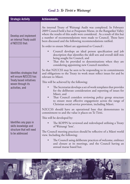## **Goal 2:** *Te Tiriti o Waitangi*

| <b>Strategic Activity</b>                                            | <b>Achievements:</b>                                                                                                                                                                                                                                                                                                                              |
|----------------------------------------------------------------------|---------------------------------------------------------------------------------------------------------------------------------------------------------------------------------------------------------------------------------------------------------------------------------------------------------------------------------------------------|
| Develop and implement<br>an internal Treaty audit<br>of N7CCSS that: | An internal Treaty of Waitangi Audit was completed. In February<br>2009 Council held a hui at Poupatate Marae, in the Rangatikei Valley<br>where the results of this audit were considered. As a result of this hui<br>a number of recommendations were made to Council. These have<br>been discussed and the following recommendations ratified. |
|                                                                      | In order to ensure Maori are appointed to Council:                                                                                                                                                                                                                                                                                                |
|                                                                      | Council develops an ideal person specification and job<br>description that identifies the skill sets and overall skill mix<br>being sought for Council, and                                                                                                                                                                                       |
|                                                                      | That this be provided to denominations when they are<br>considering appointing new Council members.                                                                                                                                                                                                                                               |
| Identifies strategies that<br>will ensure NZCCSS has                 | So that NZCCSS may be seen to be responding to its commitments<br>and obligations to the Treaty its work must reflect issues for and be<br>relevant to Māori.                                                                                                                                                                                     |
| Treaty based initiatives<br>woven through its                        | This will be achieved by the following:                                                                                                                                                                                                                                                                                                           |
| activities, and                                                      | The Secretariat develops a set of work templates that provides<br>for the deliberate consideration and reporting of issues for<br>Māori, and<br>That Council considers reviewing policy group structure<br>$\bullet$<br>to ensure most effective engagement across the range of<br>Christian social service provision, including Māori.           |
|                                                                      | NZCCSS should have an operational base that demonstrates its<br>commitment to and the value it places on Te Tiriti.                                                                                                                                                                                                                               |
|                                                                      | This will be developed by:                                                                                                                                                                                                                                                                                                                        |
| Identifies any gaps in<br>skills knowledge and                       | The KOPPS be reviewed and redeveloped utilising a Treaty<br>of Waitangi 'lens'.                                                                                                                                                                                                                                                                   |
| structure that will need<br>to be addressed                          | The Council meeting practices should be reflective of a Māori world<br>view. Including the following:                                                                                                                                                                                                                                             |
|                                                                      | The Council using deliberate practices of welcome, embrace<br>and closure at its meetings, and the Council having an<br>annual marae based hui.                                                                                                                                                                                                   |

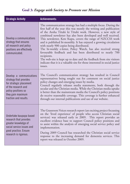## **Goal 3:** *Engage with Society to Promote our Mission*

| <b>Strategic Activity</b>                                                                                                                                                 | <b>Achievements:</b>                                                                                                                                                                                                                                                                                                                                                                                                                                                                                                                                                                                                                                                                                                                                                   |
|---------------------------------------------------------------------------------------------------------------------------------------------------------------------------|------------------------------------------------------------------------------------------------------------------------------------------------------------------------------------------------------------------------------------------------------------------------------------------------------------------------------------------------------------------------------------------------------------------------------------------------------------------------------------------------------------------------------------------------------------------------------------------------------------------------------------------------------------------------------------------------------------------------------------------------------------------------|
| Develop a communications<br>strategy that ensures<br>all research and policy<br>positions are effectively<br>communicated.                                                | The communication strategy has had a multiple focus. During the<br>first half of the year this was mostly the writing and publication<br>of the Aroha Tētahi ki Tētahi work. However, a new style of<br>combined newsletter has also been developed and well received.<br>This newsletter, Kete Kupu, covers the range of NZCCSS work<br>and is published bi-monthly. It has enjoyed a growing circulation<br>with nearly 900 copies being distributed.<br>The bi-weekly e-letter, Policy Watch, has also received strong<br>favourable feedback and has been distributed to nearly 700<br>recipients.<br>The web-site is kept up to date and the feedback from site visitors<br>indicate that it is a valuable site for those interested in social justice<br>issues. |
| Develop a communications<br>strategy that provides<br>for strategic placement<br>of the research and<br>policy positions so<br>they gain maximum<br>traction and results. | The Council's communication strategy has resulted in Council<br>representatives being sought out for comment on social justice<br>policy changes and emerging issues by media.<br>Council regularly releases media statements, both through the<br>secular and the Christian media. While the Christian media uptake<br>is better than the mainstream media the Council's policy positions<br>do receive reasonable coverage. This coverage is further enhanced<br>through our internal publications and use of our website.                                                                                                                                                                                                                                           |
| Undertake kaupapa based<br>research that provides<br>greater knowledge of<br>social service issues and<br>good practice. Ensure<br>research is rigorous.                  | The Grassroots Voices research report (an exciting project focussing<br>on the 'lived experience' of people who access Christian social<br>services) was released early in 2009. This report provides an<br>excellent evidence base to support Council policy positions and<br>to assist within the analysis of emerging social service policy and<br>implementation.<br>During 2009 Council has researched the Christian social service<br>response to the increasing demand for dementia services. This<br>report was released in October 2009.                                                                                                                                                                                                                      |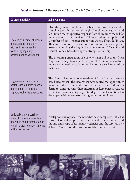## **Goal 4:** *Interact Effectively with our Social Service Provider Base*

| <b>Strategic Activity</b>                                                                                                                          | <b>Achievements:</b>                                                                                                                                                                                                                                                                                                                                                                                                                                                                                                                                                                                                                                                                                                                        |  |
|----------------------------------------------------------------------------------------------------------------------------------------------------|---------------------------------------------------------------------------------------------------------------------------------------------------------------------------------------------------------------------------------------------------------------------------------------------------------------------------------------------------------------------------------------------------------------------------------------------------------------------------------------------------------------------------------------------------------------------------------------------------------------------------------------------------------------------------------------------------------------------------------------------|--|
| Encourage member churches<br>and agencies to identify<br>with and feel valued by<br>NZCCSS by regularly<br>communicating with them.                | Over this year we have been actively involved with our member<br>church leaders. It has been through Church leader support and<br>facilitation that the positive response from churches to the call for<br>more action has been achieved. Church leaders have published<br>a number of press releases supporting Aroha Tētahi ki Tētahi.<br>They have promoted the call for more action on social justice<br>issues to church gatherings and to conferences. NZCCSS and<br>Church leaders have developed a strong relationship.<br>The increasing circulation of our two main publications, Kete<br>Kupu and Policy Watch, and the good 'hit' rate on our website<br>indicate our methods of communication are well received by<br>members. |  |
| Engage with church based<br>social research units to share<br>learning and to mutually<br>support each others kaupapa.                             | The Council has hosted two meetings of Christian social service<br>based researchers. The researchers have valued the opportunity<br>to meet and a recent evaluation of the attendees indicates a<br>desire to continue with these meetings at least twice a year. As<br>a result of these meetings a greater degree of collaboration has<br>developed with researchers sharing resources and ideas.                                                                                                                                                                                                                                                                                                                                        |  |
| Undertake a membership<br>survey to review how we best<br>add value to our members, and<br>to gain a greater understanding<br>of their activities. | A telephone survey of all members has been completed. This has<br>allowed Council to update its database and to better understand<br>the size and scope of its member agencies and the services they<br>deliver. A report on this work is available on our website.                                                                                                                                                                                                                                                                                                                                                                                                                                                                         |  |

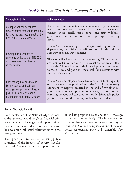## **Goal 5:** *Respond Effectively to Emerging Policy Debate*

| <b>Strategic Activity</b>                                                                                                                                     | <b>Achievements:</b>                                                                                                                                                                                                                                                                                                                                                                                                              |  |
|---------------------------------------------------------------------------------------------------------------------------------------------------------------|-----------------------------------------------------------------------------------------------------------------------------------------------------------------------------------------------------------------------------------------------------------------------------------------------------------------------------------------------------------------------------------------------------------------------------------|--|
| As important policy debates<br>emerge select those that are likely<br>to have the greatest impact on the<br><b>NZCCSS Mission and Values.</b>                 | The Council continues to make submissions to parliamentary<br>select committees on key issues. It makes media releases to<br>promote more socially just responses and actively lobbies<br>government ministers and opposition spokespeople on key<br>issues.                                                                                                                                                                      |  |
| Develop our responses to<br>emerging policy so that NZCCSS<br>can maximise its influence<br>in the debate.                                                    | NZCCSS maintains good linkages with government<br>departments, especially the Ministry of Health and the<br>Ministry of Social Development.<br>The Council takes a lead role in ensuring Church leaders<br>are kept well informed of current social service issues. This<br>assists the Church leaders in their development of responses<br>to these issues and positions them well for discussions with<br>the nation's leaders. |  |
| Consistently link back to our<br>key messages and political<br>engagement platforms. Ensure<br>positions taken are readily<br>defendable and factually based. | NZCCSS has developed an excellent reputation for the quality<br>of its research. The publication of the first of the quarterly<br>Vulnerability Reports occurred at the end of this financial<br>year. These reports are proving to be a very effective tool in<br>ensuring the Council can produce readily defendable policy<br>positions based on the most up to date factual evidence.                                         |  |

#### **Overall Strategic Benefit**

Both the election of the National led government at the last election and the global financial crisis have provided challenges and opportunities. Council has responded well to these challenges by developing influential relationships with the new government.

The opportunity to use the increasing public awareness of the impacts of poverty has also provided Council with the opportunity to

extend its prophetic voice and for its messages to be heard more clearly. The implementation of its multi-faceted communication strategy has resulted in Council being seen as one of the main voices representing poor and vulnerable New Zealanders.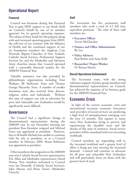## **Operational Report**

#### **Financial**

Council was fortunate during this Financial Year to gain MSD support to use funds (held on Council's behalf by one of its member agencies) for its general operating expenses. The release of these funds for this purpose along with and increased operating grant from MSD, the roll-over of our contract with the Ministry of Health and the continued support of our six foundation members the Anglican Care Network, Baptist Churches of New Zealand, Catholic Social Services, Presbyterian Support Services Inc and the Methodist and Salvation Army churches means that Council operated with a reasonable financial surplus for the 2008/09 Financial Year.

Valuable assistance was also provided by philanthropic organisations including Trust Waikato, JR McKenzie Trust and Thomas George Macarthy Trust. A number of smaller donations were also received from diocese, religious orders and individuals. Without this type of support our role as advocates for poor and vulnerable new Zealanders would be significantly more difficult.

#### **Governance**

The Council had a significant change in denominational representation during the 2008/09 year. In our November meeting our president Ross Kendrew resigned and Michael Greer was appointed as president. However, due to ill health Michael was unable to continue with his role as president, or as a Council member. In February 2009, Shaun Robinson was appointed as president.

Other members who resigned over the 2008/09 year were Catholic Social Services representative Eric Allan and Methodist representative David Hanna. New members welcomed to Council were Ian Donnelly (Catholic Social Services), John Murray and Brian Turner (Methodist Church).

#### **Staff**

The Secretariat has five permanent staff members who work a total of 4.2 full time equivalent positions. The roles of these staff members are:

- • **Executive Officer**  Trevor McGlinchey
- **Finance and Office Administrator** Bo Liu
- **Policy Advisors** Paul Barber and Anne Kelly
- **Researcher/ Project Worker** Dr Betsan Martin

#### **Overall Operational Achievement**

The Secretariat team, with the strong voluntary support of policy group members and denominational representatives on Council, has achieved the majority of its business goals for the 2008/09 Financial Year.

## **Economic Crisis**

In light of the current economic crisis and international recession economic forecasters (and providers of social services) are predicting a high level of unemployment emerging over the next 12 months. This equates to many more New Zealanders living in poverty and experiencing the dreadful stress and life shocks of this state of existence. Social service providers will be inundated with ever increasing workloads.

Council members are responding well to the increased workload and a greater level of effort is being put into meeting the increased demand. Council will continue to advocate for all poor and vulnerable New Zealanders and will particularly focus on those with the greatest level of need.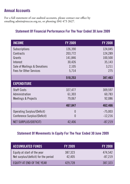## **Annual Accounts**

For a full statement of our audited accounts, please contact our office by emailing admin@nzccss.org.nz, or phoning (04) 473 2627.

## **Statement Of Financial Performance For The Year Ended 30 June 2009**

| <b>INCOME</b>                  | <b>FY 2009</b> | <b>FY 2008</b> |
|--------------------------------|----------------|----------------|
| Subscriptions                  | 126,390        | 124,045        |
| Contracts                      | 203,772        | 124,289        |
| Grants                         | 141,846        | 100,500        |
| Interest                       | 30,426         | 35,143         |
| Sale of Mailings & Donations   | 2,105          | 3,211          |
| <b>Fees for Other Services</b> | 5,714          | 275            |
|                                | 510,253        | 387,463        |
| <b>EXPENDITURE</b>             |                |                |
| <b>Staff Costs</b>             | 327,477        | 309,597        |
| Administration                 | 61,303         | 60,783         |
| Meetings & Projects            | 79,067         | 92,086         |
|                                | 467,847        | 462,466        |
| Operating Surplus/(Deficit)    | U              | $-75,003$      |
| Conference Surplus/(Deficit)   | 0              | $-12,216$      |
| NET SURPLUS/(DEFICIT)          | 42,406         | $-87,219$      |

## **Statement Of Movements In Equity For The Year Ended 30 June 2009**

| <b>ACCUMULATED FUNDS</b>                                            | <b>FY 2009</b>    | <b>FY 2008</b>       |
|---------------------------------------------------------------------|-------------------|----------------------|
| Equity at start of the year<br>Net surplus/(deficit) for the period | 387,323<br>42,405 | 474,542<br>$-87,219$ |
| EQUITY AT END OF THE YEAR                                           | 429,728           | 387,323              |